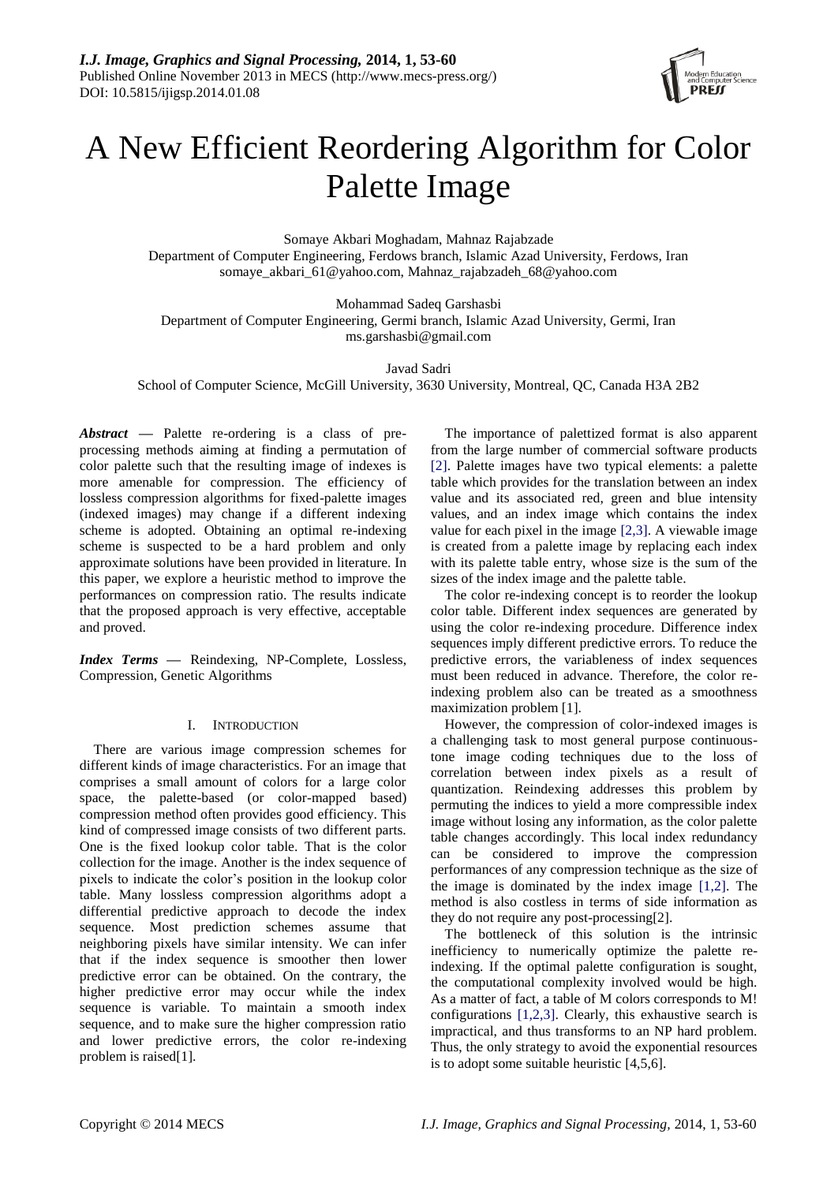

# A New Efficient Reordering Algorithm for Color Palette Image

Somaye Akbari Moghadam, Mahnaz Rajabzade Department of Computer Engineering, Ferdows branch, Islamic Azad University, Ferdows, Iran somaye\_akbari\_61@yahoo.com, [Mahnaz\\_rajabzadeh\\_68@yahoo.com](mailto:Mahnaz_rajabzadeh_68@yahoo.com)

Mohammad Sadeq Garshasbi Department of Computer Engineering, Germi branch, Islamic Azad University, Germi, Iran ms.garshasbi@gmail.com

Javad Sadri School of Computer Science, McGill University, 3630 University, Montreal, QC, Canada H3A 2B2

*Abstract* **—** Palette re-ordering is a class of preprocessing methods aiming at finding a permutation of color palette such that the resulting image of indexes is more amenable for compression. The efficiency of lossless compression algorithms for fixed-palette images (indexed images) may change if a different indexing scheme is adopted. Obtaining an optimal re-indexing scheme is suspected to be a hard problem and only approximate solutions have been provided in literature. In this paper, we explore a heuristic method to improve the performances on compression ratio. The results indicate that the proposed approach is very effective, acceptable and proved.

*Index Terms* **—** Reindexing, NP-Complete, Lossless, Compression, Genetic Algorithms

## I. INTRODUCTION

There are various image compression schemes for different kinds of image characteristics. For an image that comprises a small amount of colors for a large color space, the palette-based (or color-mapped based) compression method often provides good efficiency. This kind of compressed image consists of two different parts. One is the fixed lookup color table. That is the color collection for the image. Another is the index sequence of pixels to indicate the color's position in the lookup color table. Many lossless compression algorithms adopt a differential predictive approach to decode the index sequence. Most prediction schemes assume that neighboring pixels have similar intensity. We can infer that if the index sequence is smoother then lower predictive error can be obtained. On the contrary, the higher predictive error may occur while the index sequence is variable. To maintain a smooth index sequence, and to make sure the higher compression ratio and lower predictive errors, the color re-indexing problem is raised[1].

The importance of palettized format is also apparent from the large number of commercial software products [2]. Palette images have two typical elements: a palette table which provides for the translation between an index value and its associated red, green and blue intensity values, and an index image which contains the index value for each pixel in the image [2,3]. A viewable image is created from a palette image by replacing each index with its palette table entry, whose size is the sum of the sizes of the index image and the palette table.

The color re-indexing concept is to reorder the lookup color table. Different index sequences are generated by using the color re-indexing procedure. Difference index sequences imply different predictive errors. To reduce the predictive errors, the variableness of index sequences must been reduced in advance. Therefore, the color reindexing problem also can be treated as a smoothness maximization problem [1].

However, the compression of color-indexed images is a challenging task to most general purpose continuoustone image coding techniques due to the loss of correlation between index pixels as a result of quantization. Reindexing addresses this problem by permuting the indices to yield a more compressible index image without losing any information, as the color palette table changes accordingly. This local index redundancy can be considered to improve the compression performances of any compression technique as the size of the image is dominated by the index image [1,2]. The method is also costless in terms of side information as they do not require any post-processing[2].

The bottleneck of this solution is the intrinsic inefficiency to numerically optimize the palette reindexing. If the optimal palette configuration is sought, the computational complexity involved would be high. As a matter of fact, a table of M colors corresponds to M! configurations [1,2,3]. Clearly, this exhaustive search is impractical, and thus transforms to an NP hard problem. Thus, the only strategy to avoid the exponential resources is to adopt some suitable heuristic [4,5,6].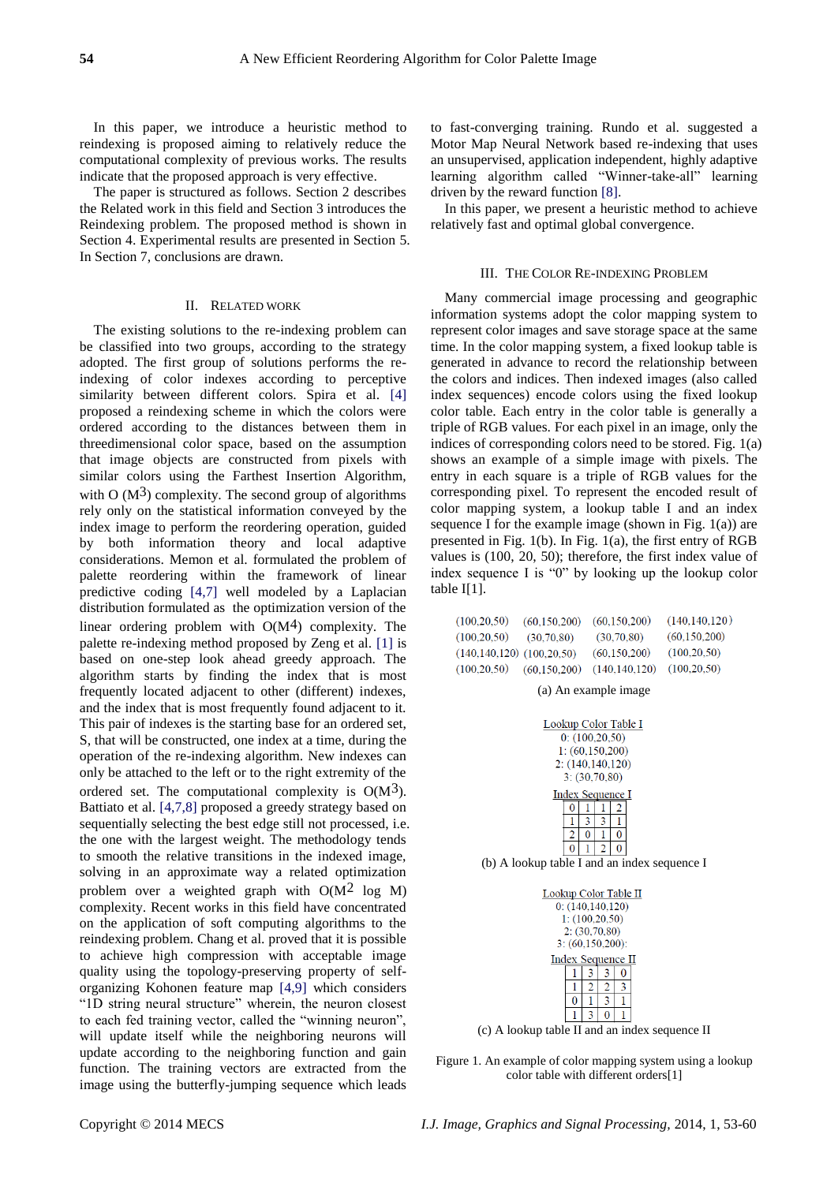In this paper, we introduce a heuristic method to reindexing is proposed aiming to relatively reduce the computational complexity of previous works. The results indicate that the proposed approach is very effective.

The paper is structured as follows. Section 2 describes the Related work in this field and Section 3 introduces the Reindexing problem. The proposed method is shown in Section 4. Experimental results are presented in Section 5. In Section 7, conclusions are drawn.

## II. RELATED WORK

The existing solutions to the re-indexing problem can be classified into two groups, according to the strategy adopted. The first group of solutions performs the reindexing of color indexes according to perceptive similarity between different colors. Spira et al. [4] proposed a reindexing scheme in which the colors were ordered according to the distances between them in threedimensional color space, based on the assumption that image objects are constructed from pixels with similar colors using the Farthest Insertion Algorithm, with O  $(M<sup>3</sup>)$  complexity. The second group of algorithms rely only on the statistical information conveyed by the index image to perform the reordering operation, guided by both information theory and local adaptive considerations. Memon et al. formulated the problem of palette reordering within the framework of linear predictive coding [4,7] well modeled by a Laplacian distribution formulated as the optimization version of the linear ordering problem with  $O(M<sup>4</sup>)$  complexity. The palette re-indexing method proposed by Zeng et al. [1] is based on one-step look ahead greedy approach. The algorithm starts by finding the index that is most frequently located adjacent to other (different) indexes, and the index that is most frequently found adjacent to it. This pair of indexes is the starting base for an ordered set, S, that will be constructed, one index at a time, during the operation of the re-indexing algorithm. New indexes can only be attached to the left or to the right extremity of the ordered set. The computational complexity is  $O(M<sup>3</sup>)$ . Battiato et al. [4,7,8] proposed a greedy strategy based on sequentially selecting the best edge still not processed, i.e. the one with the largest weight. The methodology tends to smooth the relative transitions in the indexed image, solving in an approximate way a related optimization problem over a weighted graph with  $O(M^2 \log M)$ complexity. Recent works in this field have concentrated on the application of soft computing algorithms to the reindexing problem. Chang et al. proved that it is possible to achieve high compression with acceptable image quality using the topology-preserving property of selforganizing Kohonen feature map [4,9] which considers "1D string neural structure" wherein, the neuron closest to each fed training vector, called the "winning neuron", will update itself while the neighboring neurons will update according to the neighboring function and gain function. The training vectors are extracted from the image using the butterfly-jumping sequence which leads

to fast-converging training. Rundo et al. suggested a Motor Map Neural Network based re-indexing that uses an unsupervised, application independent, highly adaptive learning algorithm called "Winner-take-all" learning driven by the reward function [8].

In this paper, we present a heuristic method to achieve relatively fast and optimal global convergence.

### III. THE COLOR RE-INDEXING PROBLEM

Many commercial image processing and geographic information systems adopt the color mapping system to represent color images and save storage space at the same time. In the color mapping system, a fixed lookup table is generated in advance to record the relationship between the colors and indices. Then indexed images (also called index sequences) encode colors using the fixed lookup color table. Each entry in the color table is generally a triple of RGB values. For each pixel in an image, only the indices of corresponding colors need to be stored. Fig. 1(a) shows an example of a simple image with pixels. The entry in each square is a triple of RGB values for the corresponding pixel. To represent the encoded result of color mapping system, a lookup table I and an index sequence I for the example image (shown in Fig. 1(a)) are presented in Fig. 1(b). In Fig. 1(a), the first entry of RGB values is (100, 20, 50); therefore, the first index value of index sequence I is "0" by looking up the lookup color table I[1].

| (100, 20, 50)                     | (60.150.200) | (60.150.200)    | (140, 140, 120) |
|-----------------------------------|--------------|-----------------|-----------------|
| (100, 20, 50)                     | (30,70,80)   | (30,70,80)      | (60, 150, 200)  |
| $(140, 140, 120)$ $(100, 20, 50)$ |              | (60, 150, 200)  | (100, 20, 50)   |
| (100, 20, 50)                     | (60.150.200) | (140, 140, 120) | (100, 20, 50)   |

(a) An example image

| Lookup Color Table I |                  |   |   |                    |  |  |
|----------------------|------------------|---|---|--------------------|--|--|
|                      | 0: (100, 20, 50) |   |   |                    |  |  |
|                      |                  |   |   | 1: (60, 150, 200)  |  |  |
|                      |                  |   |   | 2: (140, 140, 120) |  |  |
| 3: (30, 70, 80)      |                  |   |   |                    |  |  |
| Index Sequence I     |                  |   |   |                    |  |  |
|                      | 0                |   |   | 2                  |  |  |
|                      | 1                | 3 | 3 | ı                  |  |  |
|                      | 2                | 0 |   | 0                  |  |  |
|                      |                  |   | 2 | O                  |  |  |
|                      |                  |   |   |                    |  |  |

(b) A lookup table I and an index sequence I

| Lookup Color Table II<br>0: (140, 140, 120)<br>1: (100, 20, 50)<br>2: (30,70,80) |                    |  |   |  |  |
|----------------------------------------------------------------------------------|--------------------|--|---|--|--|
|                                                                                  | 3: (60, 150, 200): |  |   |  |  |
| Index Sequence II                                                                |                    |  |   |  |  |
| 3                                                                                |                    |  |   |  |  |
| ٦<br>2<br>2                                                                      |                    |  |   |  |  |
|                                                                                  | 0                  |  | 3 |  |  |
|                                                                                  |                    |  |   |  |  |

(c) A lookup table II and an index sequence II

Figure 1. An example of color mapping system using a lookup color table with different orders[1]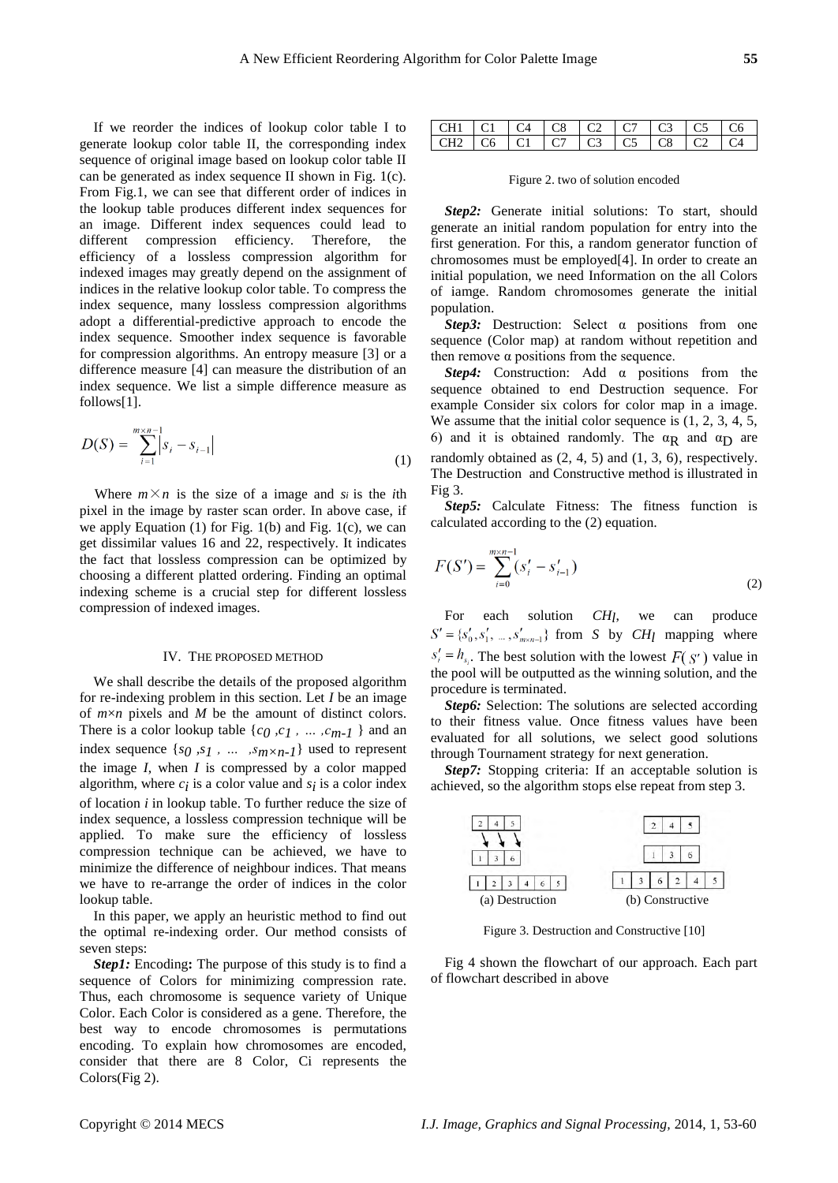If we reorder the indices of lookup color table I to generate lookup color table II, the corresponding index sequence of original image based on lookup color table II can be generated as index sequence II shown in Fig. 1(c). From Fig.1, we can see that different order of indices in the lookup table produces different index sequences for an image. Different index sequences could lead to different compression efficiency. Therefore, the efficiency of a lossless compression algorithm for indexed images may greatly depend on the assignment of indices in the relative lookup color table. To compress the index sequence, many lossless compression algorithms adopt a differential-predictive approach to encode the index sequence. Smoother index sequence is favorable for compression algorithms. An entropy measure [3] or a difference measure [4] can measure the distribution of an index sequence. We list a simple difference measure as follows[1].

$$
D(S) = \sum_{i=1}^{m \times n-1} |s_i - s_{i-1}|
$$
\n(1)

Where  $m \times n$  is the size of a image and *si* is the *i*th pixel in the image by raster scan order. In above case, if we apply Equation (1) for Fig. 1(b) and Fig. 1(c), we can get dissimilar values 16 and 22, respectively. It indicates the fact that lossless compression can be optimized by choosing a different platted ordering. Finding an optimal indexing scheme is a crucial step for different lossless compression of indexed images.

#### IV. THE PROPOSED METHOD

We shall describe the details of the proposed algorithm for re-indexing problem in this section. Let *I* be an image of  $m \times n$  pixels and  $M$  be the amount of distinct colors. There is a color lookup table  $\{c_0, c_1, \ldots, c_{m-1}\}$  and an index sequence {*s0 ,s1 , … ,sm×n-1*} used to represent the image *I*, when *I* is compressed by a color mapped algorithm, where  $c_i$  is a color value and  $s_i$  is a color index of location *i* in lookup table. To further reduce the size of index sequence, a lossless compression technique will be applied. To make sure the efficiency of lossless compression technique can be achieved, we have to minimize the difference of neighbour indices. That means we have to re-arrange the order of indices in the color lookup table.

In this paper, we apply an heuristic method to find out the optimal re-indexing order. Our method consists of seven steps:

*Step1:* Encoding**:** The purpose of this study is to find a sequence of Colors for minimizing compression rate. Thus, each chromosome is sequence variety of Unique Color. Each Color is considered as a gene. Therefore, the best way to encode chromosomes is permutations encoding. To explain how chromosomes are encoded, consider that there are 8 Color, Ci represents the Colors(Fig 2).

| CH1 C1 C4 C8 C2 C7 C3 C5 C6                 |  |  |  |  |
|---------------------------------------------|--|--|--|--|
| CH2   C6   C1   C7   C3   C5   C8   C2   C4 |  |  |  |  |

Figure 2. two of solution encoded

*Step2:* Generate initial solutions: To start, should generate an initial random population for entry into the first generation. For this, a random generator function of chromosomes must be employed[4]. In order to create an initial population, we need Information on the all Colors of iamge. Random chromosomes generate the initial population.

*Step3:* Destruction: Select α positions from one sequence (Color map) at random without repetition and then remove  $α$  positions from the sequence.

*Step4:* Construction: Add α positions from the sequence obtained to end Destruction sequence. For example Consider six colors for color map in a image. We assume that the initial color sequence is  $(1, 2, 3, 4, 5, 4)$ 6) and it is obtained randomly. The  $\alpha_R$  and  $\alpha_D$  are randomly obtained as (2, 4, 5) and (1, 3, 6), respectively. The Destruction and Constructive method is illustrated in Fig 3.

*Step5:* Calculate Fitness: The fitness function is calculated according to the (2) equation.

$$
F(S') = \sum_{i=0}^{m \times n-1} (s'_i - s'_{i-1})
$$
\n(2)

For each solution *CH*<sub>l</sub>, we can produce  $S' = \{s'_0, s'_1, \ldots, s'_{m \times n-1}\}\$  from *S* by *CH*<sub>l</sub> mapping where  $s'_{i} = h_{s_{i}}$ . The best solution with the lowest  $F(s')$  value in the pool will be outputted as the winning solution, and the procedure is terminated.

*Step6:* Selection: The solutions are selected according to their fitness value. Once fitness values have been evaluated for all solutions, we select good solutions through Tournament strategy for next generation.

*Step7:* Stopping criteria: If an acceptable solution is achieved, so the algorithm stops else repeat from step 3.



Figure 3. Destruction and Constructive [10]

Fig 4 shown the flowchart of our approach. Each part of flowchart described in above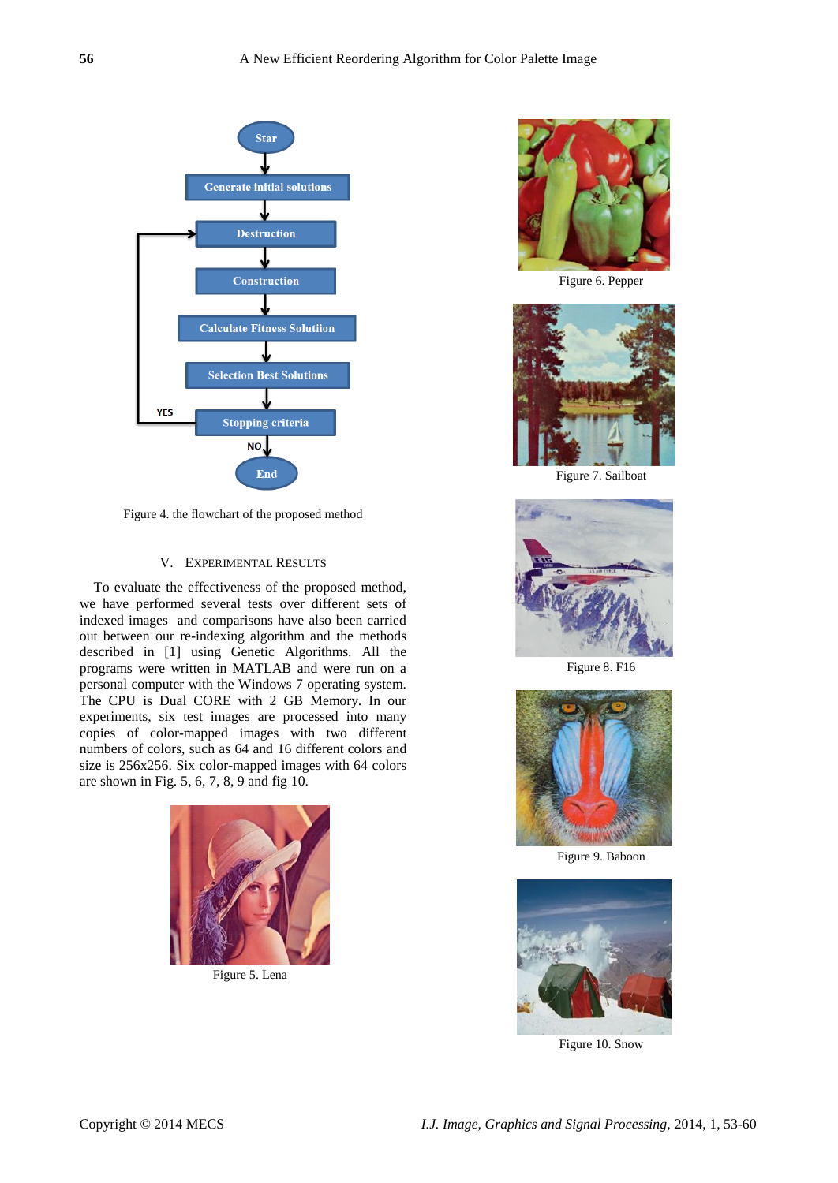

Figure 4. the flowchart of the proposed method

## V. EXPERIMENTAL RESULTS

To evaluate the effectiveness of the proposed method, we have performed several tests over different sets of indexed images and comparisons have also been carried out between our re-indexing algorithm and the methods described in [1] using Genetic Algorithms. All the programs were written in MATLAB and were run on a personal computer with the Windows 7 operating system. The CPU is Dual CORE with 2 GB Memory. In our experiments, six test images are processed into many copies of color-mapped images with two different numbers of colors, such as 64 and 16 different colors and size is 256x256. Six color-mapped images with 64 colors are shown in Fig. 5, 6, 7, 8, 9 and fig 10.



Figure 5. Lena



Figure 6. Pepper



Figure 7. Sailboat



Figure 8. F16



Figure 9. Baboon



Figure 10. Snow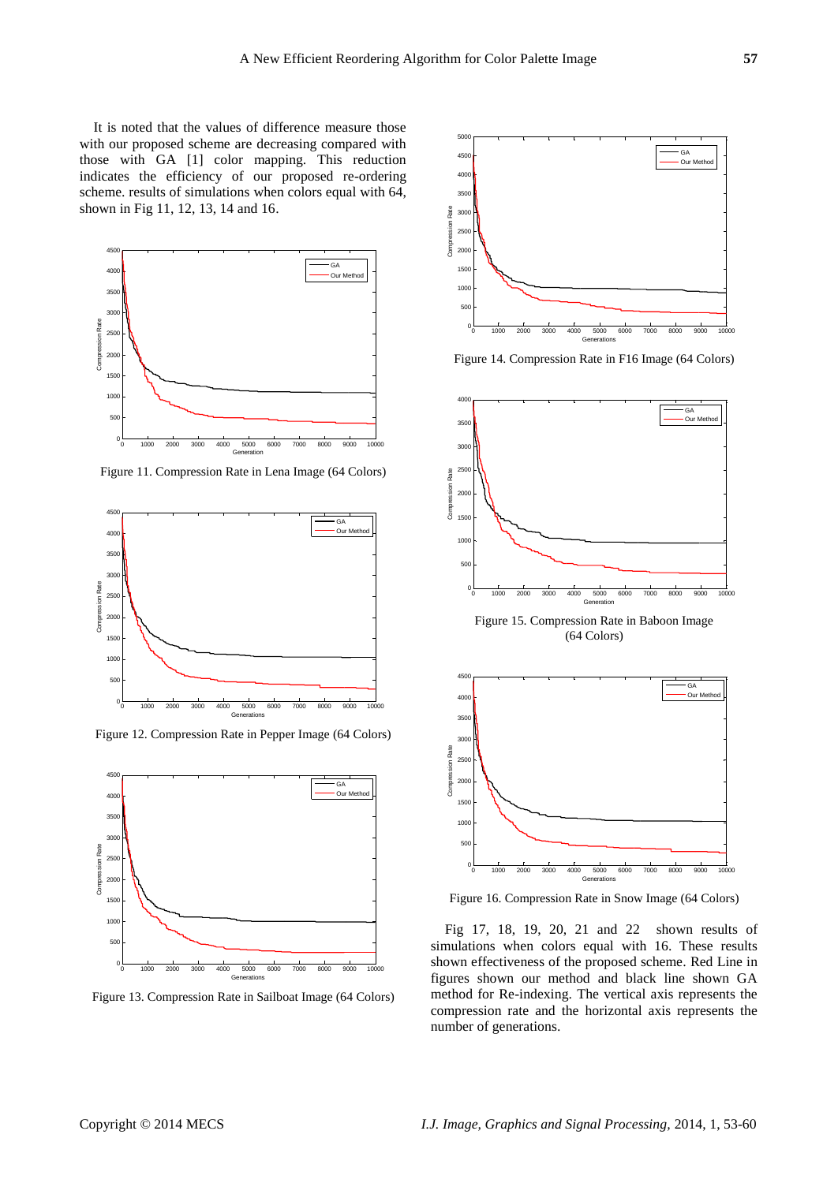It is noted that the values of difference measure those with our proposed scheme are decreasing compared with those with GA [1] color mapping. This reduction indicates the efficiency of our proposed re-ordering scheme. results of simulations when colors equal with 64, shown in Fig 11, 12, 13, 14 and 16.



Figure 11. Compression Rate in Lena Image (64 Colors)



Figure 12. Compression Rate in Pepper Image (64 Colors)



Figure 13. Compression Rate in Sailboat Image (64 Colors)



Figure 14. Compression Rate in F16 Image (64 Colors)



Figure 15. Compression Rate in Baboon Image (64 Colors)



Figure 16. Compression Rate in Snow Image (64 Colors)

Fig 17, 18, 19, 20, 21 and 22 shown results of simulations when colors equal with 16. These results shown effectiveness of the proposed scheme. Red Line in figures shown our method and black line shown GA method for Re-indexing. The vertical axis represents the compression rate and the horizontal axis represents the number of generations.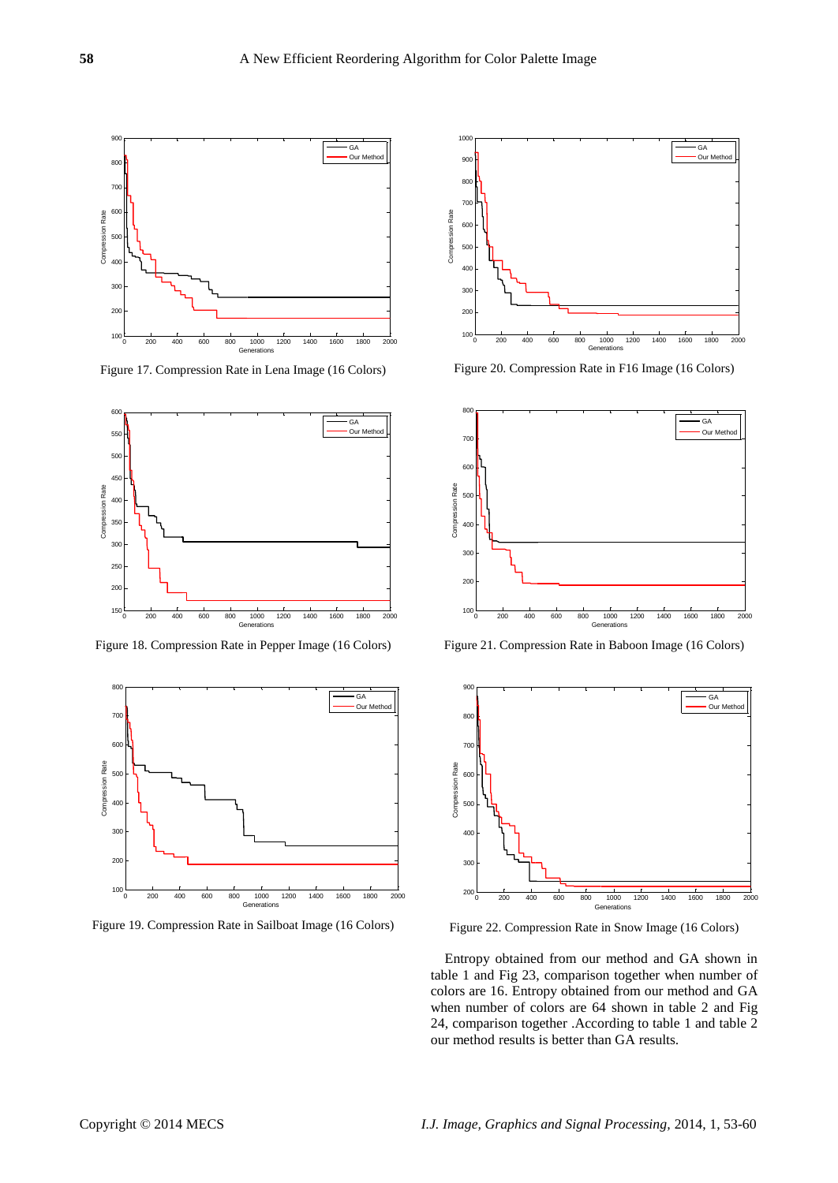

Figure 17. Compression Rate in Lena Image (16 Colors)



Figure 18. Compression Rate in Pepper Image (16 Colors)



Figure 19. Compression Rate in Sailboat Image (16 Colors)



Figure 20. Compression Rate in F16 Image (16 Colors)



Figure 21. Compression Rate in Baboon Image (16 Colors)



Figure 22. Compression Rate in Snow Image (16 Colors)

Entropy obtained from our method and GA shown in table 1 and Fig 23, comparison together when number of colors are 16. Entropy obtained from our method and GA when number of colors are 64 shown in table 2 and Fig 24, comparison together .According to table 1 and table 2 our method results is better than GA results.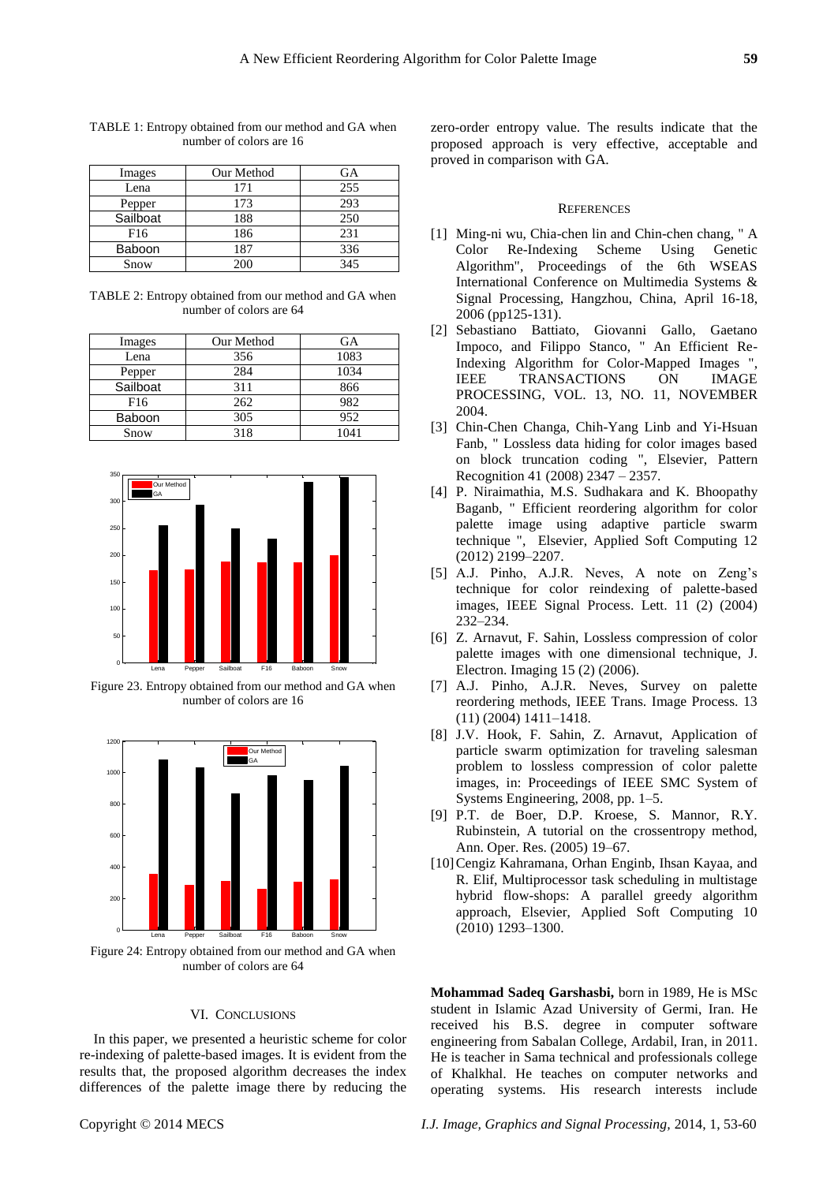| Images          | Our Method | GА  |
|-----------------|------------|-----|
| Lena            | 171        | 255 |
| Pepper          | 173        | 293 |
| Sailboat        | 188        | 250 |
| F <sub>16</sub> | 186        | 231 |
| Baboon          | 187        | 336 |
| Snow            | 200        | 345 |

TABLE 1: Entropy obtained from our method and GA when number of colors are 16

TABLE 2: Entropy obtained from our method and GA when number of colors are 64

| Images          | Our Method | GA   |
|-----------------|------------|------|
| Lena            | 356        | 1083 |
| Pepper          | 284        | 1034 |
| Sailboat        | 311        | 866  |
| F <sub>16</sub> | 262        | 982  |
| <b>Baboon</b>   | 305        | 952  |
| Snow            | 318        | 1041 |



Figure 23. Entropy obtained from our method and GA when number of colors are 16



Figure 24: Entropy obtained from our method and GA when number of colors are 64

#### VI. CONCLUSIONS

In this paper, we presented a heuristic scheme for color re-indexing of palette-based images. It is evident from the results that, the proposed algorithm decreases the index differences of the palette image there by reducing the

#### **REFERENCES**

- [1] Ming-ni wu, Chia-chen lin and Chin-chen chang, " A Color Re-Indexing Scheme Using Genetic Algorithm", Proceedings of the 6th WSEAS International Conference on Multimedia Systems & Signal Processing, Hangzhou, China, April 16-18, 2006 (pp125-131).
- [2] Sebastiano Battiato, Giovanni Gallo, Gaetano Impoco, and Filippo Stanco, " An Efficient Re-Indexing Algorithm for Color-Mapped Images ", IEEE TRANSACTIONS ON IMAGE PROCESSING, VOL. 13, NO. 11, NOVEMBER 2004.
- [3] Chin-Chen Changa, Chih-Yang Linb and Yi-Hsuan Fanb, " Lossless data hiding for color images based on block truncation coding ", Elsevier, Pattern Recognition 41 (2008) 2347 – 2357.
- [4] P. Niraimathia, M.S. Sudhakara and K. Bhoopathy Baganb, " Efficient reordering algorithm for color palette image using adaptive particle swarm technique ", Elsevier, Applied Soft Computing 12 (2012) 2199–2207.
- [5] A.J. Pinho, A.J.R. Neves, A note on Zeng's technique for color reindexing of palette-based images, IEEE Signal Process. Lett. 11 (2) (2004) 232–234.
- [6] Z. Arnavut, F. Sahin, Lossless compression of color palette images with one dimensional technique, J. Electron. Imaging 15 (2) (2006).
- [7] A.J. Pinho, A.J.R. Neves, Survey on palette reordering methods, IEEE Trans. Image Process. 13 (11) (2004) 1411–1418.
- [8] J.V. Hook, F. Sahin, Z. Arnavut, Application of particle swarm optimization for traveling salesman problem to lossless compression of color palette images, in: Proceedings of IEEE SMC System of Systems Engineering, 2008, pp. 1–5.
- [9] P.T. de Boer, D.P. Kroese, S. Mannor, R.Y. Rubinstein, A tutorial on the crossentropy method, Ann. Oper. Res. (2005) 19–67.
- [10]Cengiz Kahramana, Orhan Enginb, Ihsan Kayaa, and R. Elif, Multiprocessor task scheduling in multistage hybrid flow-shops: A parallel greedy algorithm approach, Elsevier, Applied Soft Computing 10 (2010) 1293–1300.

**Mohammad Sadeq Garshasbi,** born in 1989, He is MSc student in Islamic Azad University of Germi, Iran. He received his B.S. degree in computer software engineering from Sabalan College, Ardabil, Iran, in 2011. He is teacher in Sama technical and professionals college of Khalkhal. He teaches on computer networks and operating systems. His research interests include